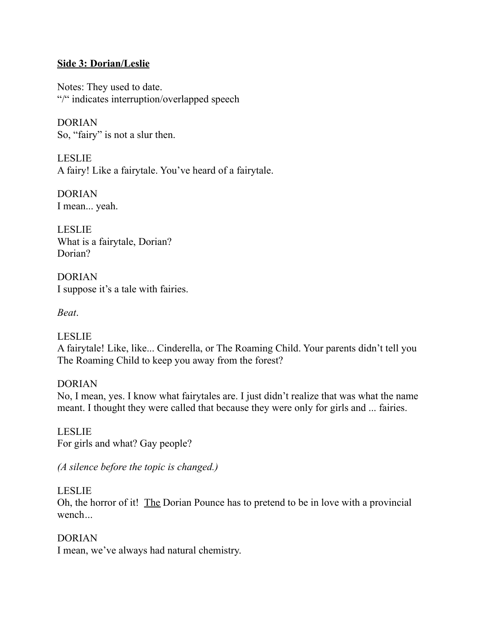#### **Side 3: Dorian/Leslie**

Notes: They used to date. "/" indicates interruption/overlapped speech

DORIAN So, "fairy" is not a slur then.

LESLIE A fairy! Like a fairytale. You've heard of a fairytale.

DORIAN I mean... yeah.

LESLIE What is a fairytale, Dorian? Dorian?

DORIAN I suppose it's a tale with fairies.

*Beat*.

LESLIE A fairytale! Like, like... Cinderella, or The Roaming Child. Your parents didn't tell you The Roaming Child to keep you away from the forest?

DORIAN No, I mean, yes. I know what fairytales are. I just didn't realize that was what the name meant. I thought they were called that because they were only for girls and ... fairies.

LESLIE For girls and what? Gay people?

*(A silence before the topic is changed.)*

### LESLIE

Oh, the horror of it! The Dorian Pounce has to pretend to be in love with a provincial wench*…*

### DORIAN

I mean, we've always had natural chemistry.